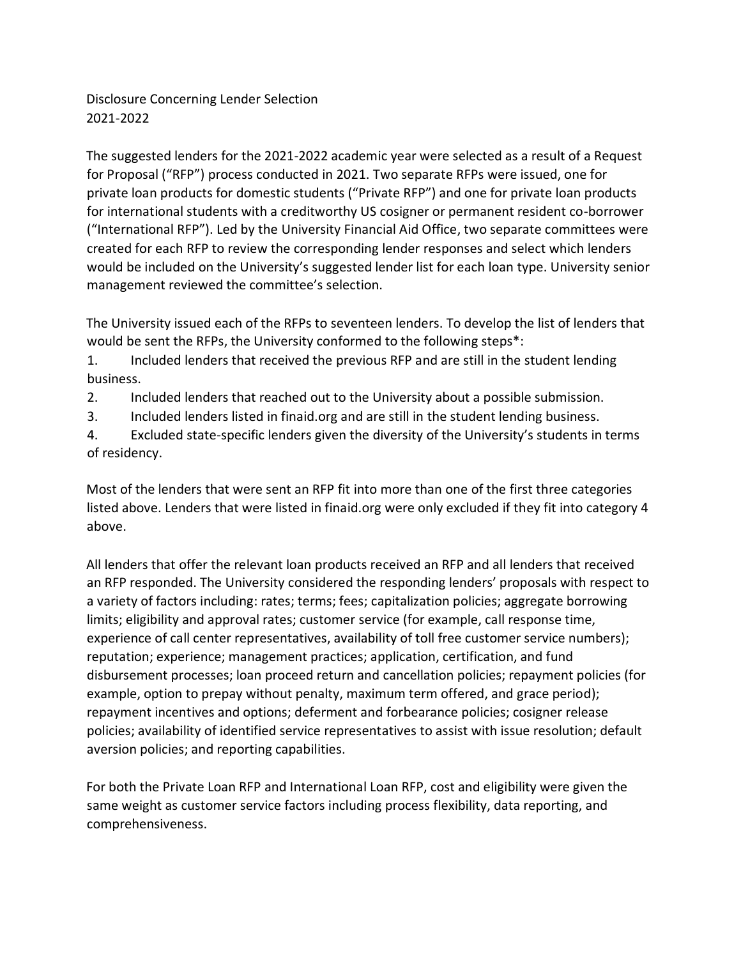Disclosure Concerning Lender Selection 2021-2022

The suggested lenders for the 2021-2022 academic year were selected as a result of a Request for Proposal ("RFP") process conducted in 2021. Two separate RFPs were issued, one for private loan products for domestic students ("Private RFP") and one for private loan products for international students with a creditworthy US cosigner or permanent resident co-borrower ("International RFP"). Led by the University Financial Aid Office, two separate committees were created for each RFP to review the corresponding lender responses and select which lenders would be included on the University's suggested lender list for each loan type. University senior management reviewed the committee's selection.

The University issued each of the RFPs to seventeen lenders. To develop the list of lenders that would be sent the RFPs, the University conformed to the following steps\*:

1. Included lenders that received the previous RFP and are still in the student lending business.

2. Included lenders that reached out to the University about a possible submission.

3. Included lenders listed in finaid.org and are still in the student lending business.

4. Excluded state-specific lenders given the diversity of the University's students in terms of residency.

Most of the lenders that were sent an RFP fit into more than one of the first three categories listed above. Lenders that were listed in finaid.org were only excluded if they fit into category 4 above.

All lenders that offer the relevant loan products received an RFP and all lenders that received an RFP responded. The University considered the responding lenders' proposals with respect to a variety of factors including: rates; terms; fees; capitalization policies; aggregate borrowing limits; eligibility and approval rates; customer service (for example, call response time, experience of call center representatives, availability of toll free customer service numbers); reputation; experience; management practices; application, certification, and fund disbursement processes; loan proceed return and cancellation policies; repayment policies (for example, option to prepay without penalty, maximum term offered, and grace period); repayment incentives and options; deferment and forbearance policies; cosigner release policies; availability of identified service representatives to assist with issue resolution; default aversion policies; and reporting capabilities.

For both the Private Loan RFP and International Loan RFP, cost and eligibility were given the same weight as customer service factors including process flexibility, data reporting, and comprehensiveness.